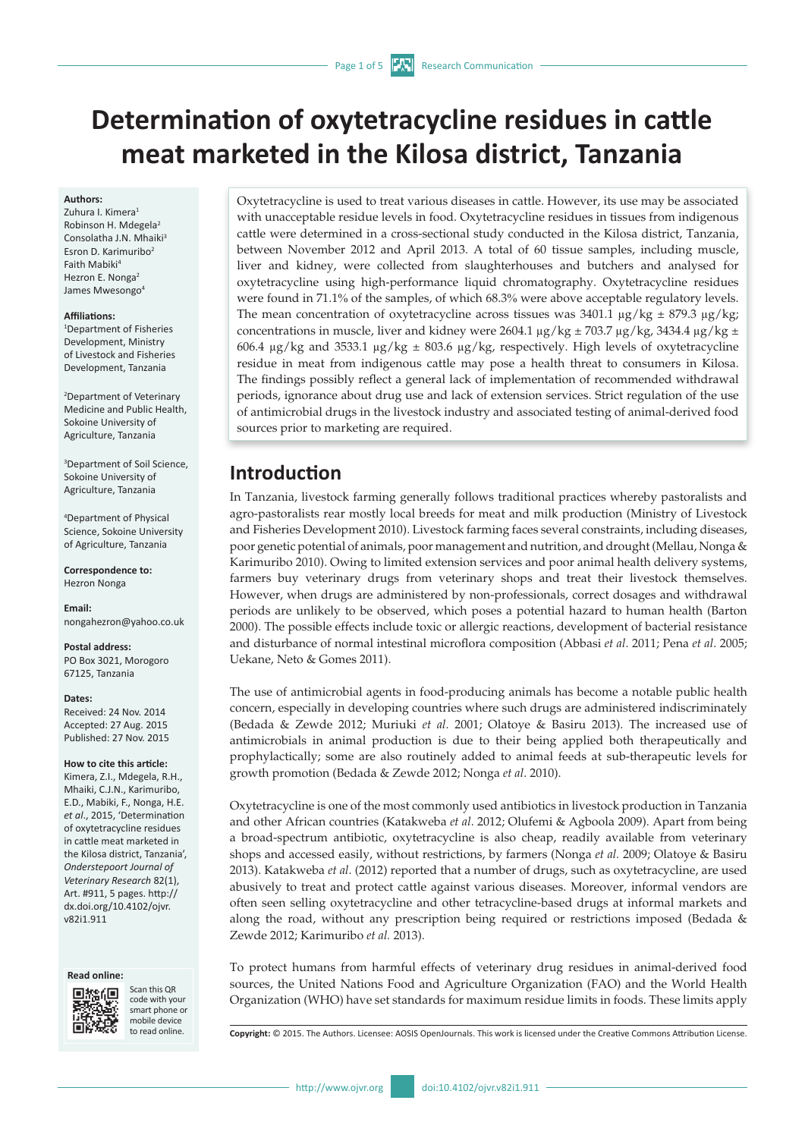# **Determination of oxytetracycline residues in cattle meat marketed in the Kilosa district, Tanzania**

#### **Authors:**

Zuhura I. Kimera<sup>1</sup> Robinson H. Mdegela2 Consolatha J.N. Mhaiki<sup>3</sup> Esron D. Karimuribo2 Faith Mabiki4 Hezron E. Nonga<sup>2</sup> James Mwesongo<sup>4</sup>

#### **Affiliations:**

1 Department of Fisheries Development, Ministry of Livestock and Fisheries Development, Tanzania

2 Department of Veterinary Medicine and Public Health, Sokoine University of Agriculture, Tanzania

3 Department of Soil Science, Sokoine University of Agriculture, Tanzania

4 Department of Physical Science, Sokoine University of Agriculture, Tanzania

**Correspondence to:** Hezron Nonga

**Email:** [nongahezron@yahoo.co.uk](mailto:nongahezron@yahoo.co.uk)

**Postal address:** PO Box 3021, Morogoro 67125, Tanzania

#### **Dates:**

Received: 24 Nov. 2014 Accepted: 27 Aug. 2015 Published: 27 Nov. 2015

### **How to cite this article:**

Kimera, Z.I., Mdegela, R.H., Mhaiki, C.J.N., Karimuribo, E.D., Mabiki, F., Nonga, H.E. *et al*., 2015, 'Determination of oxytetracycline residues in cattle meat marketed in the Kilosa district, Tanzania', *Onderstepoort Journal of Veterinary Research* 82(1), Art. #911, 5 pages. [http://](http://dx.doi.org/10.4102/ojvr.v82i1.911) [dx.doi.org/10.4102/ojvr.](http://dx.doi.org/10.4102/ojvr.v82i1.911) [v82i1.911](http://dx.doi.org/10.4102/ojvr.v82i1.911)





Scan this QR code with your smart phone or mobile device<br>to read online

Oxytetracycline is used to treat various diseases in cattle. However, its use may be associated with unacceptable residue levels in food. Oxytetracycline residues in tissues from indigenous cattle were determined in a cross-sectional study conducted in the Kilosa district, Tanzania, between November 2012 and April 2013. A total of 60 tissue samples, including muscle, liver and kidney, were collected from slaughterhouses and butchers and analysed for oxytetracycline using high-performance liquid chromatography. Oxytetracycline residues were found in 71.1% of the samples, of which 68.3% were above acceptable regulatory levels. The mean concentration of oxytetracycline across tissues was  $3401.1 \mu g/kg \pm 879.3 \mu g/kg$ ; concentrations in muscle, liver and kidney were 2604.1  $\mu$ g/kg ± 703.7  $\mu$ g/kg, 3434.4  $\mu$ g/kg ± 606.4  $\mu$ g/kg and 3533.1  $\mu$ g/kg  $\pm$  803.6  $\mu$ g/kg, respectively. High levels of oxytetracycline residue in meat from indigenous cattle may pose a health threat to consumers in Kilosa. The findings possibly reflect a general lack of implementation of recommended withdrawal periods, ignorance about drug use and lack of extension services. Strict regulation of the use of antimicrobial drugs in the livestock industry and associated testing of animal-derived food sources prior to marketing are required.

# **Introduction**

In Tanzania, livestock farming generally follows traditional practices whereby pastoralists and agro-pastoralists rear mostly local breeds for meat and milk production (Ministry of Livestock and Fisheries Development 2010). Livestock farming faces several constraints, including diseases, poor genetic potential of animals, poor management and nutrition, and drought (Mellau, Nonga & Karimuribo 2010). Owing to limited extension services and poor animal health delivery systems, farmers buy veterinary drugs from veterinary shops and treat their livestock themselves. However, when drugs are administered by non-professionals, correct dosages and withdrawal periods are unlikely to be observed, which poses a potential hazard to human health (Barton 2000). The possible effects include toxic or allergic reactions, development of bacterial resistance and disturbance of normal intestinal microflora composition (Abbasi *et al*. 2011; Pena *et al*. 2005; Uekane, Neto & Gomes 2011).

The use of antimicrobial agents in food-producing animals has become a notable public health concern, especially in developing countries where such drugs are administered indiscriminately (Bedada & Zewde 2012; Muriuki *et al*. 2001; Olatoye & Basiru 2013). The increased use of antimicrobials in animal production is due to their being applied both therapeutically and prophylactically; some are also routinely added to animal feeds at sub-therapeutic levels for growth promotion (Bedada & Zewde 2012; Nonga *et al*. 2010).

Oxytetracycline is one of the most commonly used antibiotics in livestock production in Tanzania and other African countries (Katakweba *et al*. 2012; Olufemi & Agboola 2009). Apart from being a broad-spectrum antibiotic, oxytetracycline is also cheap, readily available from veterinary shops and accessed easily, without restrictions, by farmers (Nonga *et al.* 2009; Olatoye & Basiru 2013). Katakweba *et al*. (2012) reported that a number of drugs, such as oxytetracycline, are used abusively to treat and protect cattle against various diseases. Moreover, informal vendors are often seen selling oxytetracycline and other tetracycline-based drugs at informal markets and along the road, without any prescription being required or restrictions imposed (Bedada & Zewde 2012; Karimuribo *et al.* 2013).

To protect humans from harmful effects of veterinary drug residues in animal-derived food sources, the United Nations Food and Agriculture Organization (FAO) and the World Health Organization (WHO) have set standards for maximum residue limits in foods. These limits apply

**Copyright:** © 2015. The Authors. Licensee: AOSIS OpenJournals. This work is licensed under the Creative Commons Attribution License.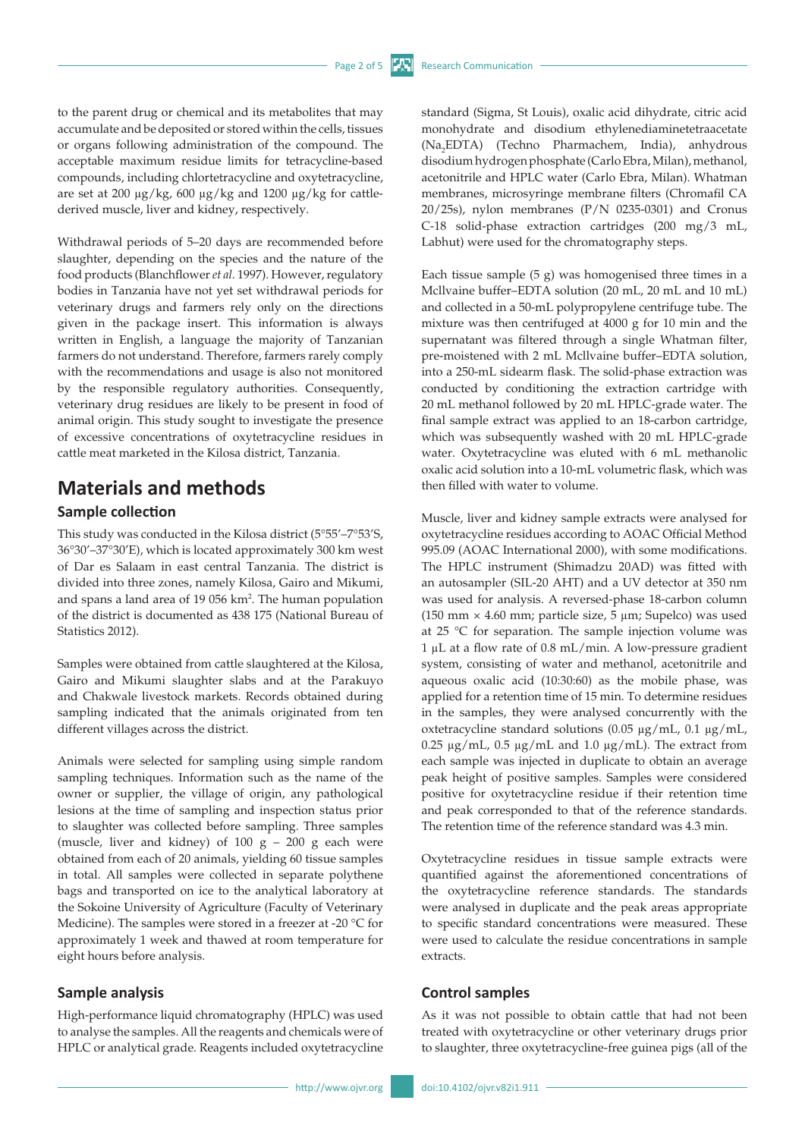to the parent drug or chemical and its metabolites that may accumulate and be deposited or stored within the cells, tissues or organs following administration of the compound. The acceptable maximum residue limits for tetracycline-based compounds, including chlortetracycline and oxytetracycline, are set at 200 µg/kg, 600 µg/kg and 1200 µg/kg for cattlederived muscle, liver and kidney, respectively.

Withdrawal periods of 5–20 days are recommended before slaughter, depending on the species and the nature of the food products (Blanchflower *et al.* 1997). However, regulatory bodies in Tanzania have not yet set withdrawal periods for veterinary drugs and farmers rely only on the directions given in the package insert. This information is always written in English, a language the majority of Tanzanian farmers do not understand. Therefore, farmers rarely comply with the recommendations and usage is also not monitored by the responsible regulatory authorities. Consequently, veterinary drug residues are likely to be present in food of animal origin. This study sought to investigate the presence of excessive concentrations of oxytetracycline residues in cattle meat marketed in the Kilosa district, Tanzania.

# **Materials and methods Sample collection**

This study was conducted in the Kilosa district (5°55'–7°53'S, 36°30'–37°30'E), which is located approximately 300 km west of Dar es Salaam in east central Tanzania. The district is divided into three zones, namely Kilosa, Gairo and Mikumi, and spans a land area of 19 056 km2 . The human population of the district is documented as 438 175 (National Bureau of Statistics 2012).

Samples were obtained from cattle slaughtered at the Kilosa, Gairo and Mikumi slaughter slabs and at the Parakuyo and Chakwale livestock markets. Records obtained during sampling indicated that the animals originated from ten different villages across the district.

Animals were selected for sampling using simple random sampling techniques. Information such as the name of the owner or supplier, the village of origin, any pathological lesions at the time of sampling and inspection status prior to slaughter was collected before sampling. Three samples (muscle, liver and kidney) of  $100 g - 200 g$  each were obtained from each of 20 animals, yielding 60 tissue samples in total. All samples were collected in separate polythene bags and transported on ice to the analytical laboratory at the Sokoine University of Agriculture (Faculty of Veterinary Medicine). The samples were stored in a freezer at -20 °C for approximately 1 week and thawed at room temperature for eight hours before analysis.

#### **Sample analysis**

High-performance liquid chromatography (HPLC) was used to analyse the samples. All the reagents and chemicals were of HPLC or analytical grade. Reagents included oxytetracycline

standard (Sigma, St Louis), oxalic acid dihydrate, citric acid monohydrate and disodium ethylenediaminetetraacetate (Na<sub>2</sub>EDTA) (Techno Pharmachem, India), anhydrous disodium hydrogen phosphate (Carlo Ebra, Milan), methanol, acetonitrile and HPLC water (Carlo Ebra, Milan). Whatman membranes, microsyringe membrane filters (Chromafil CA 20/25s), nylon membranes (P/N 0235-0301) and Cronus C-18 solid-phase extraction cartridges (200 mg/3 mL, Labhut) were used for the chromatography steps.

Each tissue sample (5 g) was homogenised three times in a Mcllvaine buffer–EDTA solution (20 mL, 20 mL and 10 mL) and collected in a 50-mL polypropylene centrifuge tube. The mixture was then centrifuged at 4000 g for 10 min and the supernatant was filtered through a single Whatman filter, pre-moistened with 2 mL Mcllvaine buffer–EDTA solution, into a 250-mL sidearm flask. The solid-phase extraction was conducted by conditioning the extraction cartridge with 20 mL methanol followed by 20 mL HPLC-grade water. The final sample extract was applied to an 18-carbon cartridge, which was subsequently washed with 20 mL HPLC-grade water. Oxytetracycline was eluted with 6 mL methanolic oxalic acid solution into a 10-mL volumetric flask, which was then filled with water to volume.

Muscle, liver and kidney sample extracts were analysed for oxytetracycline residues according to AOAC Official Method 995.09 (AOAC International 2000), with some modifications. The HPLC instrument (Shimadzu 20AD) was fitted with an autosampler (SIL-20 AHT) and a UV detector at 350 nm was used for analysis. A reversed-phase 18-carbon column (150 mm  $\times$  4.60 mm; particle size, 5 µm; Supelco) was used at 25 °C for separation. The sample injection volume was 1 µL at a flow rate of 0.8 mL/min. A low-pressure gradient system, consisting of water and methanol, acetonitrile and aqueous oxalic acid (10:30:60) as the mobile phase, was applied for a retention time of 15 min. To determine residues in the samples, they were analysed concurrently with the oxtetracycline standard solutions (0.05 µg/mL, 0.1 µg/mL, 0.25  $\mu$ g/mL, 0.5  $\mu$ g/mL and 1.0  $\mu$ g/mL). The extract from each sample was injected in duplicate to obtain an average peak height of positive samples. Samples were considered positive for oxytetracycline residue if their retention time and peak corresponded to that of the reference standards. The retention time of the reference standard was 4.3 min.

Oxytetracycline residues in tissue sample extracts were quantified against the aforementioned concentrations of the oxytetracycline reference standards. The standards were analysed in duplicate and the peak areas appropriate to specific standard concentrations were measured. These were used to calculate the residue concentrations in sample extracts.

#### **Control samples**

As it was not possible to obtain cattle that had not been treated with oxytetracycline or other veterinary drugs prior to slaughter, three oxytetracycline-free guinea pigs (all of the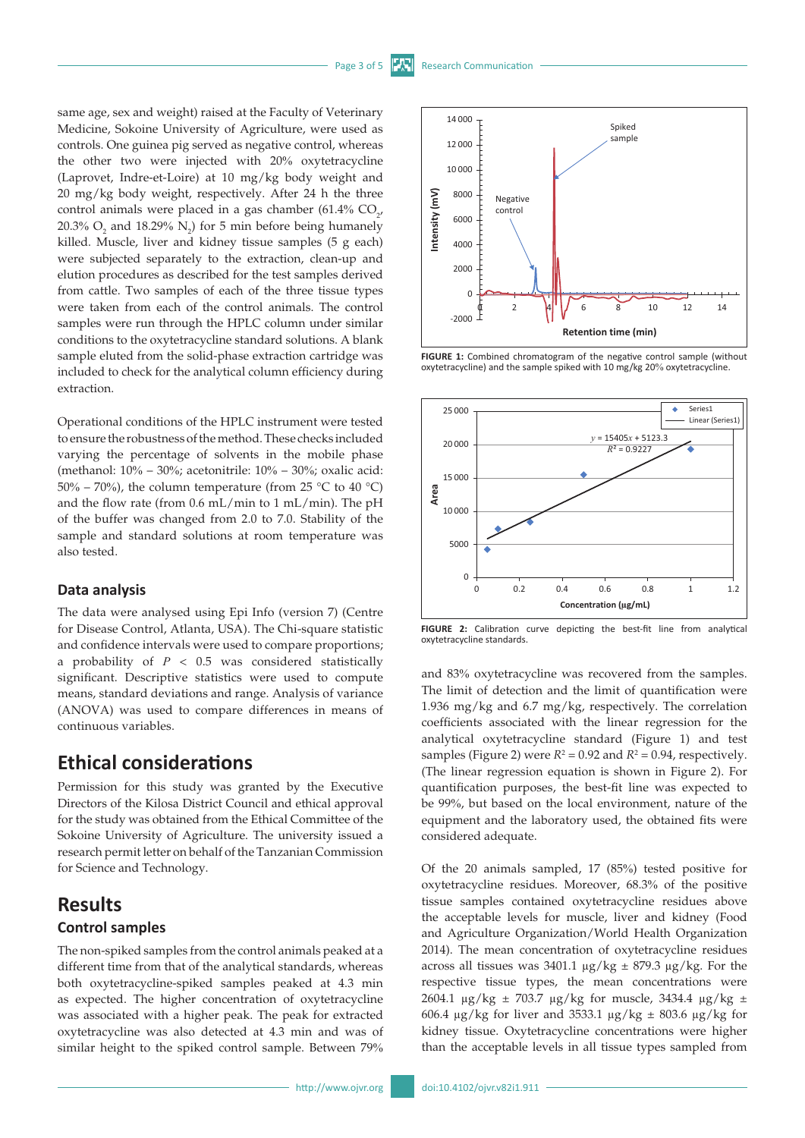same age, sex and weight) raised at the Faculty of Veterinary Medicine, Sokoine University of Agriculture, were used as controls. One guinea pig served as negative control, whereas the other two were injected with 20% oxytetracycline (Laprovet, Indre-et-Loire) at 10 mg/kg body weight and 20 mg/kg body weight, respectively. After 24 h the three control animals were placed in a gas chamber (61.4%  $CO_{2'}$ ) 20.3%  $O_2$  and 18.29%  $N_2$ ) for 5 min before being humanely killed. Muscle, liver and kidney tissue samples (5 g each) were subjected separately to the extraction, clean-up and elution procedures as described for the test samples derived from cattle. Two samples of each of the three tissue types were taken from each of the control animals. The control samples were run through the HPLC column under similar conditions to the oxytetracycline standard solutions. A blank sample eluted from the solid-phase extraction cartridge was included to check for the analytical column efficiency during extraction.

Operational conditions of the HPLC instrument were tested to ensure the robustness of the method. These checks included varying the percentage of solvents in the mobile phase (methanol: 10% – 30%; acetonitrile: 10% – 30%; oxalic acid: 50% – 70%), the column temperature (from 25 °C to 40 °C) and the flow rate (from 0.6 mL/min to 1 mL/min). The pH of the buffer was changed from 2.0 to 7.0. Stability of the sample and standard solutions at room temperature was also tested.

#### **Data analysis**

The data were analysed using Epi Info (version 7) (Centre for Disease Control, Atlanta, USA). The Chi-square statistic and confidence intervals were used to compare proportions; a probability of *P* < 0.5 was considered statistically significant. Descriptive statistics were used to compute means, standard deviations and range. Analysis of variance (ANOVA) was used to compare differences in means of continuous variables.

### **Ethical considerations**

Permission for this study was granted by the Executive Directors of the Kilosa District Council and ethical approval for the study was obtained from the Ethical Committee of the Sokoine University of Agriculture. The university issued a research permit letter on behalf of the Tanzanian Commission for Science and Technology.

# **Results**

### **Control samples**

The non-spiked samples from the control animals peaked at a different time from that of the analytical standards, whereas both oxytetracycline-spiked samples peaked at 4.3 min as expected. The higher concentration of oxytetracycline was associated with a higher peak. The peak for extracted oxytetracycline was also detected at 4.3 min and was of similar height to the spiked control sample. Between 79%



FIGURE 1: Combined chromatogram of the negative control sample (without oxytetracycline) and the sample spiked with 10 mg/kg 20% oxytetracycline.



**FIGURE 2:** Calibration curve depicting the best-fit line from analytical oxytetracycline standards.

and 83% oxytetracycline was recovered from the samples. The limit of detection and the limit of quantification were 1.936 mg/kg and 6.7 mg/kg, respectively. The correlation coefficients associated with the linear regression for the analytical oxytetracycline standard (Figure 1) and test samples (Figure 2) were  $R^2 = 0.92$  and  $R^2 = 0.94$ , respectively. (The linear regression equation is shown in Figure 2). For quantification purposes, the best-fit line was expected to be 99%, but based on the local environment, nature of the equipment and the laboratory used, the obtained fits were considered adequate.

Of the 20 animals sampled, 17 (85%) tested positive for oxytetracycline residues. Moreover, 68.3% of the positive tissue samples contained oxytetracycline residues above the acceptable levels for muscle, liver and kidney (Food and Agriculture Organization/World Health Organization 2014). The mean concentration of oxytetracycline residues across all tissues was 3401.1  $\mu$ g/kg ± 879.3  $\mu$ g/kg. For the respective tissue types, the mean concentrations were 2604.1  $\mu$ g/kg ± 703.7  $\mu$ g/kg for muscle, 3434.4  $\mu$ g/kg ± 606.4  $\mu$ g/kg for liver and 3533.1  $\mu$ g/kg ± 803.6  $\mu$ g/kg for kidney tissue. Oxytetracycline concentrations were higher than the acceptable levels in all tissue types sampled from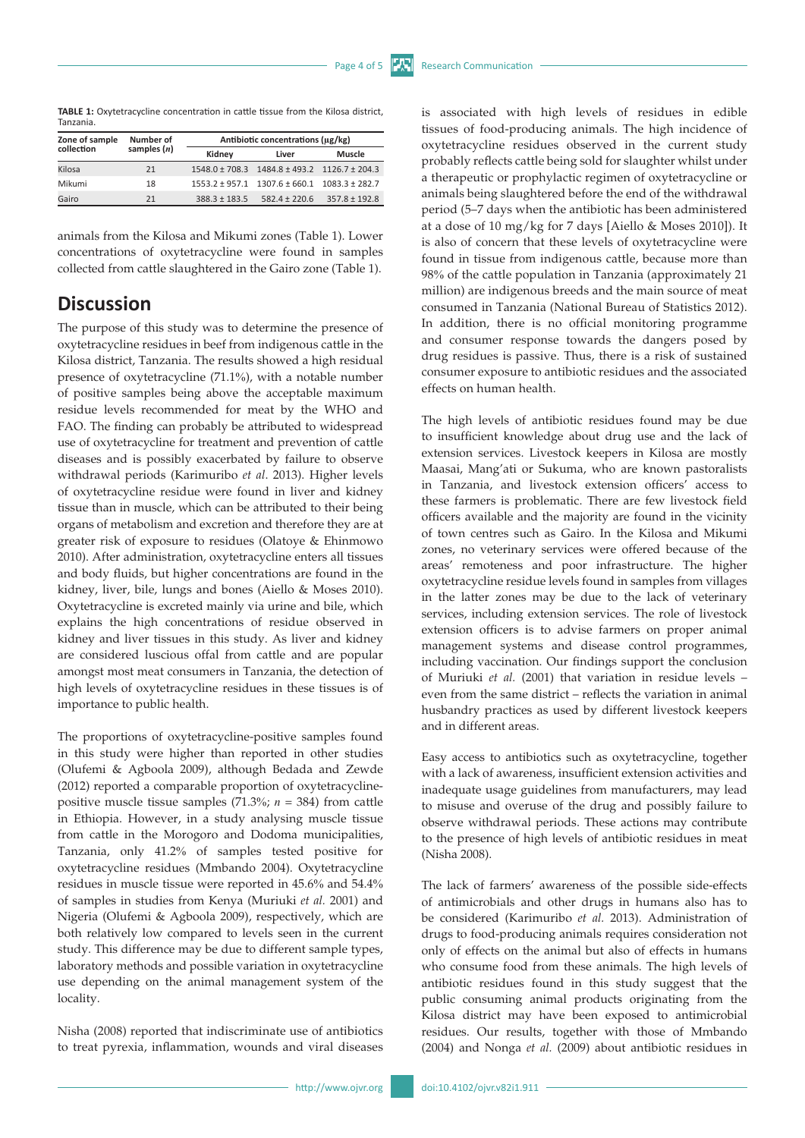**TABLE 1:** Oxytetracycline concentration in cattle tissue from the Kilosa district, Tanzania.

| Zone of sample<br>collection | Number of<br>samples $(n)$ | Antibiotic concentrations (µg/kg) |                                                          |                   |
|------------------------------|----------------------------|-----------------------------------|----------------------------------------------------------|-------------------|
|                              |                            | Kidney                            | Liver                                                    | <b>Muscle</b>     |
| Kilosa                       | 21                         |                                   | $1548.0 \pm 708.3$ $1484.8 \pm 493.2$ $1126.7 \pm 204.3$ |                   |
| Mikumi                       | 18                         |                                   | $1553.2 \pm 957.1$ $1307.6 \pm 660.1$ $1083.3 \pm 282.7$ |                   |
| Gairo                        | 21                         | $388.3 \pm 183.5$                 | $582.4 \pm 220.6$                                        | $357.8 \pm 192.8$ |

animals from the Kilosa and Mikumi zones (Table 1). Lower concentrations of oxytetracycline were found in samples collected from cattle slaughtered in the Gairo zone (Table 1).

# **Discussion**

The purpose of this study was to determine the presence of oxytetracycline residues in beef from indigenous cattle in the Kilosa district, Tanzania. The results showed a high residual presence of oxytetracycline (71.1%), with a notable number of positive samples being above the acceptable maximum residue levels recommended for meat by the WHO and FAO. The finding can probably be attributed to widespread use of oxytetracycline for treatment and prevention of cattle diseases and is possibly exacerbated by failure to observe withdrawal periods (Karimuribo *et al*. 2013). Higher levels of oxytetracycline residue were found in liver and kidney tissue than in muscle, which can be attributed to their being organs of metabolism and excretion and therefore they are at greater risk of exposure to residues (Olatoye & Ehinmowo 2010). After administration, oxytetracycline enters all tissues and body fluids, but higher concentrations are found in the kidney, liver, bile, lungs and bones (Aiello & Moses 2010). Oxytetracycline is excreted mainly via urine and bile, which explains the high concentrations of residue observed in kidney and liver tissues in this study. As liver and kidney are considered luscious offal from cattle and are popular amongst most meat consumers in Tanzania, the detection of high levels of oxytetracycline residues in these tissues is of importance to public health.

The proportions of oxytetracycline-positive samples found in this study were higher than reported in other studies (Olufemi & Agboola 2009), although Bedada and Zewde (2012) reported a comparable proportion of oxytetracyclinepositive muscle tissue samples (71.3%; *n* = 384) from cattle in Ethiopia. However, in a study analysing muscle tissue from cattle in the Morogoro and Dodoma municipalities, Tanzania, only 41.2% of samples tested positive for oxytetracycline residues (Mmbando 2004). Oxytetracycline residues in muscle tissue were reported in 45.6% and 54.4% of samples in studies from Kenya (Muriuki *et al.* 2001) and Nigeria (Olufemi & Agboola 2009), respectively, which are both relatively low compared to levels seen in the current study. This difference may be due to different sample types, laboratory methods and possible variation in oxytetracycline use depending on the animal management system of the locality.

Nisha (2008) reported that indiscriminate use of antibiotics to treat pyrexia, inflammation, wounds and viral diseases is associated with high levels of residues in edible tissues of food-producing animals. The high incidence of oxytetracycline residues observed in the current study probably reflects cattle being sold for slaughter whilst under a therapeutic or prophylactic regimen of oxytetracycline or animals being slaughtered before the end of the withdrawal period (5–7 days when the antibiotic has been administered at a dose of 10 mg/kg for 7 days [Aiello & Moses 2010]). It is also of concern that these levels of oxytetracycline were found in tissue from indigenous cattle, because more than 98% of the cattle population in Tanzania (approximately 21 million) are indigenous breeds and the main source of meat consumed in Tanzania (National Bureau of Statistics 2012). In addition, there is no official monitoring programme and consumer response towards the dangers posed by drug residues is passive. Thus, there is a risk of sustained consumer exposure to antibiotic residues and the associated effects on human health.

The high levels of antibiotic residues found may be due to insufficient knowledge about drug use and the lack of extension services. Livestock keepers in Kilosa are mostly Maasai, Mang'ati or Sukuma, who are known pastoralists in Tanzania, and livestock extension officers' access to these farmers is problematic. There are few livestock field officers available and the majority are found in the vicinity of town centres such as Gairo. In the Kilosa and Mikumi zones, no veterinary services were offered because of the areas' remoteness and poor infrastructure. The higher oxytetracycline residue levels found in samples from villages in the latter zones may be due to the lack of veterinary services, including extension services. The role of livestock extension officers is to advise farmers on proper animal management systems and disease control programmes, including vaccination. Our findings support the conclusion of Muriuki *et al.* (2001) that variation in residue levels – even from the same district – reflects the variation in animal husbandry practices as used by different livestock keepers and in different areas.

Easy access to antibiotics such as oxytetracycline, together with a lack of awareness, insufficient extension activities and inadequate usage guidelines from manufacturers, may lead to misuse and overuse of the drug and possibly failure to observe withdrawal periods. These actions may contribute to the presence of high levels of antibiotic residues in meat (Nisha 2008).

The lack of farmers' awareness of the possible side-effects of antimicrobials and other drugs in humans also has to be considered (Karimuribo *et al.* 2013). Administration of drugs to food-producing animals requires consideration not only of effects on the animal but also of effects in humans who consume food from these animals. The high levels of antibiotic residues found in this study suggest that the public consuming animal products originating from the Kilosa district may have been exposed to antimicrobial residues. Our results, together with those of Mmbando (2004) and Nonga *et al.* (2009) about antibiotic residues in